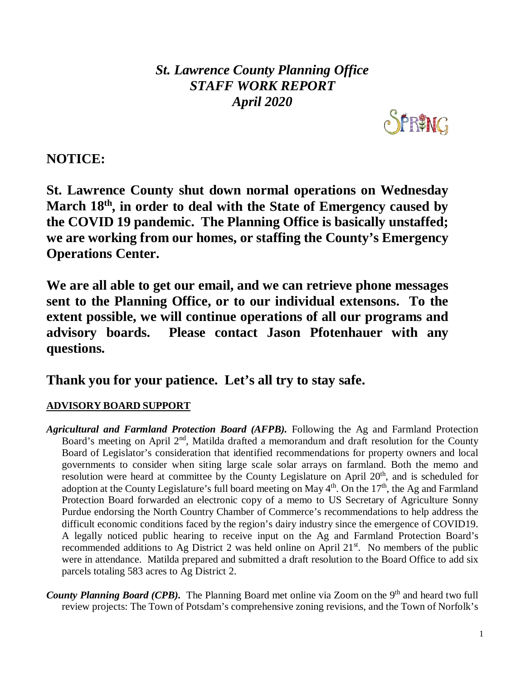*St. Lawrence County Planning Office STAFF WORK REPORT April 2020*



**NOTICE:** 

**St. Lawrence County shut down normal operations on Wednesday March 18th, in order to deal with the State of Emergency caused by the COVID 19 pandemic. The Planning Office is basically unstaffed; we are working from our homes, or staffing the County's Emergency Operations Center.** 

**We are all able to get our email, and we can retrieve phone messages sent to the Planning Office, or to our individual extensons. To the extent possible, we will continue operations of all our programs and advisory boards. Please contact Jason Pfotenhauer with any questions.**

**Thank you for your patience. Let's all try to stay safe.**

# **ADVISORY BOARD SUPPORT**

- *Agricultural and Farmland Protection Board (AFPB).* Following the Ag and Farmland Protection Board's meeting on April  $2<sup>nd</sup>$ , Matilda drafted a memorandum and draft resolution for the County Board of Legislator's consideration that identified recommendations for property owners and local governments to consider when siting large scale solar arrays on farmland. Both the memo and resolution were heard at committee by the County Legislature on April  $20<sup>th</sup>$ , and is scheduled for adoption at the County Legislature's full board meeting on May  $4<sup>th</sup>$ . On the 17<sup>th</sup>, the Ag and Farmland Protection Board forwarded an electronic copy of a memo to US Secretary of Agriculture Sonny Purdue endorsing the North Country Chamber of Commerce's recommendations to help address the difficult economic conditions faced by the region's dairy industry since the emergence of COVID19. A legally noticed public hearing to receive input on the Ag and Farmland Protection Board's recommended additions to Ag District 2 was held online on April 21<sup>st</sup>. No members of the public were in attendance. Matilda prepared and submitted a draft resolution to the Board Office to add six parcels totaling 583 acres to Ag District 2.
- *County Planning Board (CPB).* The Planning Board met online via Zoom on the 9<sup>th</sup> and heard two full review projects: The Town of Potsdam's comprehensive zoning revisions, and the Town of Norfolk's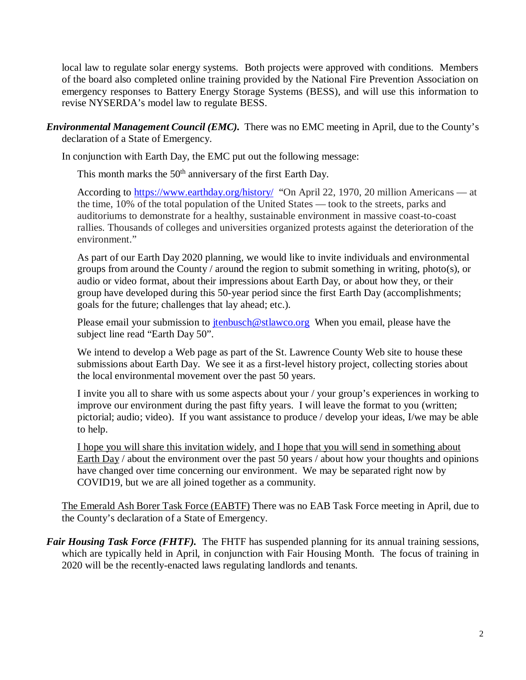local law to regulate solar energy systems. Both projects were approved with conditions. Members of the board also completed online training provided by the National Fire Prevention Association on emergency responses to Battery Energy Storage Systems (BESS), and will use this information to revise NYSERDA's model law to regulate BESS.

*Environmental Management Council (EMC).* There was no EMC meeting in April, due to the County's declaration of a State of Emergency.

In conjunction with Earth Day, the EMC put out the following message:

This month marks the  $50<sup>th</sup>$  anniversary of the first Earth Day.

According to [https://www.earthday.org/history/](https://protect-us.mimecast.com/s/tE9ICYEBqLfjKlAF0xiDY?domain=earthday.org/) "On April 22, 1970, 20 million Americans — at the time, 10% of the total population of the United States — took to the streets, parks and auditoriums to demonstrate for a healthy, sustainable environment in massive coast-to-coast rallies. Thousands of colleges and universities organized protests against the deterioration of the environment."

As part of our Earth Day 2020 planning, we would like to invite individuals and environmental groups from around the County / around the region to submit something in writing, photo(s), or audio or video format, about their impressions about Earth Day, or about how they, or their group have developed during this 50-year period since the first Earth Day (accomplishments; goals for the future; challenges that lay ahead; etc.).

Please email your submission to  $\frac{\text{tenbusch@stlawco.org}}{\text{tenbusch@stlawco.org}}$  When you email, please have the subject line read "Earth Day 50".

We intend to develop a Web page as part of the St. Lawrence County Web site to house these submissions about Earth Day. We see it as a first-level history project, collecting stories about the local environmental movement over the past 50 years.

I invite you all to share with us some aspects about your / your group's experiences in working to improve our environment during the past fifty years. I will leave the format to you (written; pictorial; audio; video). If you want assistance to produce / develop your ideas, I/we may be able to help.

I hope you will share this invitation widely, and I hope that you will send in something about Earth Day / about the environment over the past 50 years / about how your thoughts and opinions have changed over time concerning our environment. We may be separated right now by COVID19, but we are all joined together as a community.

The Emerald Ash Borer Task Force (EABTF) There was no EAB Task Force meeting in April, due to the County's declaration of a State of Emergency.

*Fair Housing Task Force (FHTF)*. The FHTF has suspended planning for its annual training sessions, which are typically held in April, in conjunction with Fair Housing Month. The focus of training in 2020 will be the recently-enacted laws regulating landlords and tenants.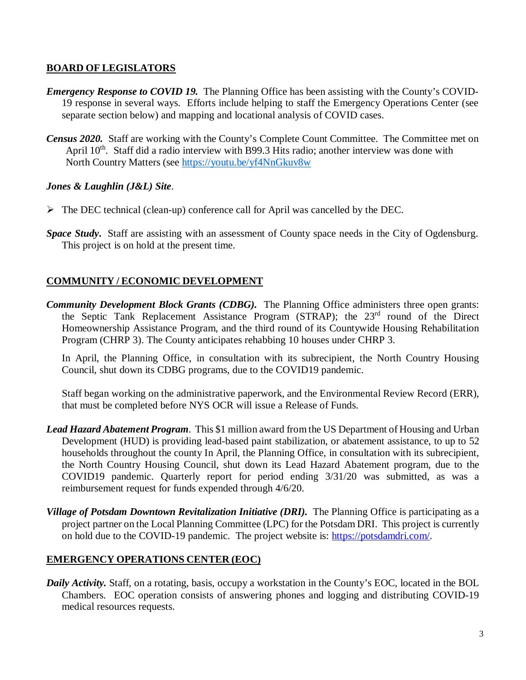### **BOARD OF LEGISLATORS**

- *Emergency Response to COVID 19.* The Planning Office has been assisting with the County's COVID-19 response in several ways. Efforts include helping to staff the Emergency Operations Center (see separate section below) and mapping and locational analysis of COVID cases.
- *Census 2020.* Staff are working with the County's Complete Count Committee. The Committee met on April  $10<sup>th</sup>$ . Staff did a radio interview with B99.3 Hits radio; another interview was done with North Country Matters (see [https://youtu.be/yf4NnGkuv8w](https://protect-us.mimecast.com/s/42iNC687K1hZvL2hpYlV6?domain=youtu.be)

# *Jones & Laughlin (J&L) Site*.

- $\triangleright$  The DEC technical (clean-up) conference call for April was cancelled by the DEC.
- *Space Study***.** Staff are assisting with an assessment of County space needs in the City of Ogdensburg. This project is on hold at the present time.

# **COMMUNITY / ECONOMIC DEVELOPMENT**

*Community Development Block Grants (CDBG).* The Planning Office administers three open grants: the Septic Tank Replacement Assistance Program (STRAP); the 23rd round of the Direct Homeownership Assistance Program, and the third round of its Countywide Housing Rehabilitation Program (CHRP 3). The County anticipates rehabbing 10 houses under CHRP 3.

In April, the Planning Office, in consultation with its subrecipient, the North Country Housing Council, shut down its CDBG programs, due to the COVID19 pandemic.

Staff began working on the administrative paperwork, and the Environmental Review Record (ERR), that must be completed before NYS OCR will issue a Release of Funds.

- *Lead Hazard Abatement Program*. This \$1 million award from the US Department of Housing and Urban Development (HUD) is providing lead-based paint stabilization, or abatement assistance, to up to 52 households throughout the county In April, the Planning Office, in consultation with its subrecipient, the North Country Housing Council, shut down its Lead Hazard Abatement program, due to the COVID19 pandemic. Quarterly report for period ending 3/31/20 was submitted, as was a reimbursement request for funds expended through 4/6/20.
- *Village of Potsdam Downtown Revitalization Initiative (DRI).* The Planning Office is participating as a project partner on the Local Planning Committee (LPC) for the Potsdam DRI. This project is currently on hold due to the COVID-19 pandemic. The project website is: [https://potsdamdri.com/.](https://potsdamdri.com/)

# **EMERGENCY OPERATIONS CENTER (EOC)**

*Daily Activity.* Staff, on a rotating, basis, occupy a workstation in the County's EOC, located in the BOL Chambers. EOC operation consists of answering phones and logging and distributing COVID-19 medical resources requests.